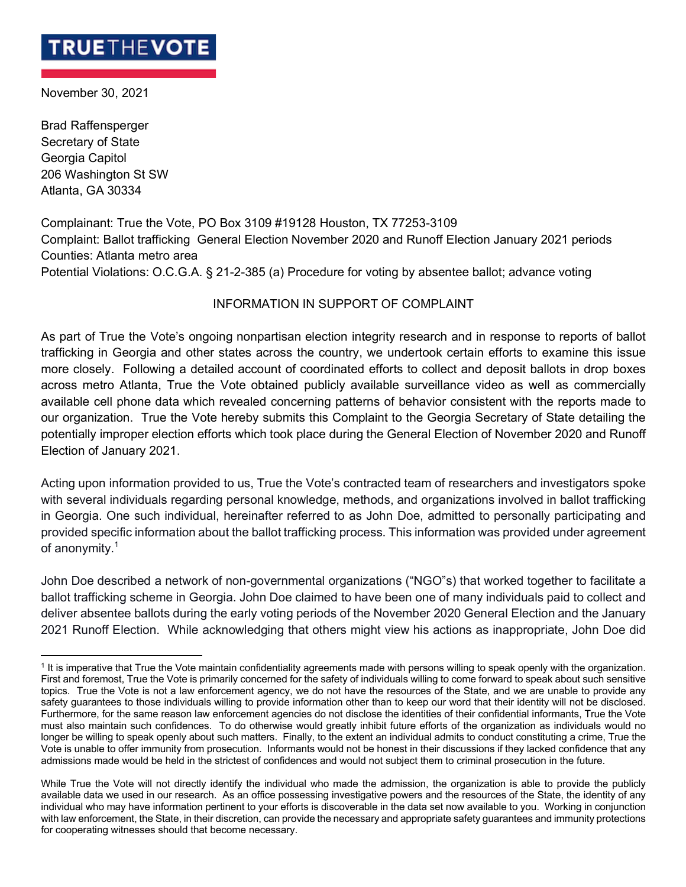## **TRUETHEVOT**

November 30, 2021

Brad Raffensperger Secretary of State Georgia Capitol 206 Washington St SW Atlanta, GA 30334

Complainant: True the Vote, PO Box 3109 #19128 Houston, TX 77253-3109 Complaint: Ballot trafficking General Election November 2020 and Runoff Election January 2021 periods Counties: Atlanta metro area Potential Violations: O.C.G.A. § 21-2-385 (a) Procedure for voting by absentee ballot; advance voting

## INFORMATION IN SUPPORT OF COMPLAINT

As part of True the Vote's ongoing nonpartisan election integrity research and in response to reports of ballot trafficking in Georgia and other states across the country, we undertook certain efforts to examine this issue more closely. Following a detailed account of coordinated efforts to collect and deposit ballots in drop boxes across metro Atlanta, True the Vote obtained publicly available surveillance video as well as commercially available cell phone data which revealed concerning patterns of behavior consistent with the reports made to our organization. True the Vote hereby submits this Complaint to the Georgia Secretary of State detailing the potentially improper election efforts which took place during the General Election of November 2020 and Runoff Election of January 2021.

Acting upon information provided to us, True the Vote's contracted team of researchers and investigators spoke with several individuals regarding personal knowledge, methods, and organizations involved in ballot trafficking in Georgia. One such individual, hereinafter referred to as John Doe, admitted to personally participating and provided specific information about the ballot trafficking process. This information was provided under agreement of anonymity.<sup>1</sup>

John Doe described a network of non-governmental organizations ("NGO"s) that worked together to facilitate a ballot trafficking scheme in Georgia. John Doe claimed to have been one of many individuals paid to collect and deliver absentee ballots during the early voting periods of the November 2020 General Election and the January 2021 Runoff Election. While acknowledging that others might view his actions as inappropriate, John Doe did

<sup>&</sup>lt;sup>1</sup> It is imperative that True the Vote maintain confidentiality agreements made with persons willing to speak openly with the organization. First and foremost, True the Vote is primarily concerned for the safety of individuals willing to come forward to speak about such sensitive topics. True the Vote is not a law enforcement agency, we do not have the resources of the State, and we are unable to provide any safety guarantees to those individuals willing to provide information other than to keep our word that their identity will not be disclosed. Furthermore, for the same reason law enforcement agencies do not disclose the identities of their confidential informants, True the Vote must also maintain such confidences. To do otherwise would greatly inhibit future efforts of the organization as individuals would no longer be willing to speak openly about such matters. Finally, to the extent an individual admits to conduct constituting a crime, True the Vote is unable to offer immunity from prosecution. Informants would not be honest in their discussions if they lacked confidence that any admissions made would be held in the strictest of confidences and would not subject them to criminal prosecution in the future.

While True the Vote will not directly identify the individual who made the admission, the organization is able to provide the publicly available data we used in our research. As an office possessing investigative powers and the resources of the State, the identity of any individual who may have information pertinent to your efforts is discoverable in the data set now available to you. Working in conjunction with law enforcement, the State, in their discretion, can provide the necessary and appropriate safety guarantees and immunity protections for cooperating witnesses should that become necessary.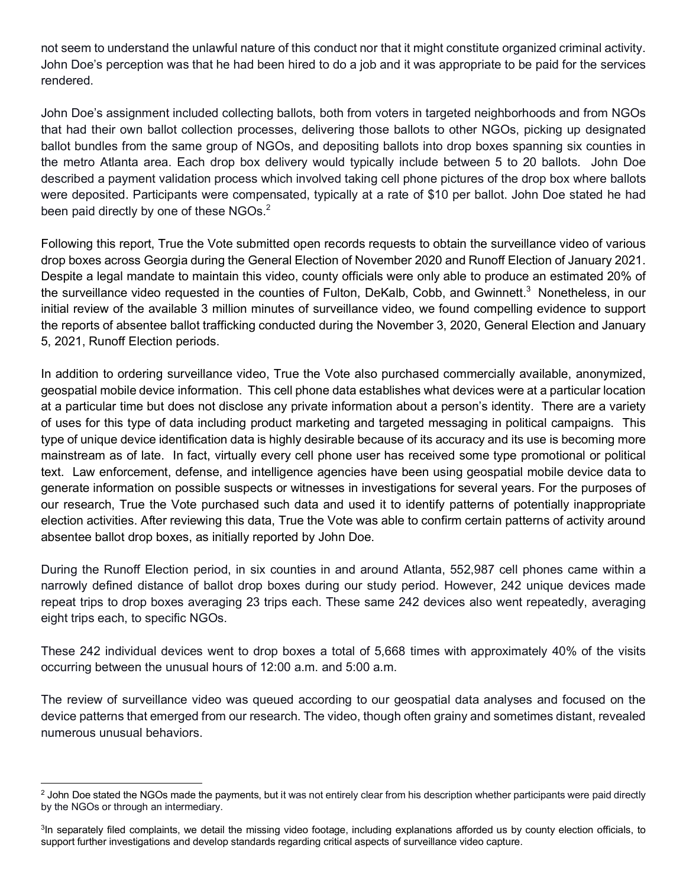not seem to understand the unlawful nature of this conduct nor that it might constitute organized criminal activity. John Doe's perception was that he had been hired to do a job and it was appropriate to be paid for the services rendered.

John Doe's assignment included collecting ballots, both from voters in targeted neighborhoods and from NGOs that had their own ballot collection processes, delivering those ballots to other NGOs, picking up designated ballot bundles from the same group of NGOs, and depositing ballots into drop boxes spanning six counties in the metro Atlanta area. Each drop box delivery would typically include between 5 to 20 ballots. John Doe described a payment validation process which involved taking cell phone pictures of the drop box where ballots were deposited. Participants were compensated, typically at a rate of \$10 per ballot. John Doe stated he had been paid directly by one of these NGOs.<sup>2</sup>

Following this report, True the Vote submitted open records requests to obtain the surveillance video of various drop boxes across Georgia during the General Election of November 2020 and Runoff Election of January 2021. Despite a legal mandate to maintain this video, county officials were only able to produce an estimated 20% of the surveillance video requested in the counties of Fulton, DeKalb, Cobb, and Gwinnett.<sup>3</sup> Nonetheless, in our initial review of the available 3 million minutes of surveillance video, we found compelling evidence to support the reports of absentee ballot trafficking conducted during the November 3, 2020, General Election and January 5, 2021, Runoff Election periods.

In addition to ordering surveillance video, True the Vote also purchased commercially available, anonymized, geospatial mobile device information. This cell phone data establishes what devices were at a particular location at a particular time but does not disclose any private information about a person's identity. There are a variety of uses for this type of data including product marketing and targeted messaging in political campaigns. This type of unique device identification data is highly desirable because of its accuracy and its use is becoming more mainstream as of late. In fact, virtually every cell phone user has received some type promotional or political text. Law enforcement, defense, and intelligence agencies have been using geospatial mobile device data to generate information on possible suspects or witnesses in investigations for several years. For the purposes of our research, True the Vote purchased such data and used it to identify patterns of potentially inappropriate election activities. After reviewing this data, True the Vote was able to confirm certain patterns of activity around absentee ballot drop boxes, as initially reported by John Doe.

During the Runoff Election period, in six counties in and around Atlanta, 552,987 cell phones came within a narrowly defined distance of ballot drop boxes during our study period. However, 242 unique devices made repeat trips to drop boxes averaging 23 trips each. These same 242 devices also went repeatedly, averaging eight trips each, to specific NGOs.

These 242 individual devices went to drop boxes a total of 5,668 times with approximately 40% of the visits occurring between the unusual hours of 12:00 a.m. and 5:00 a.m.

The review of surveillance video was queued according to our geospatial data analyses and focused on the device patterns that emerged from our research. The video, though often grainy and sometimes distant, revealed numerous unusual behaviors.

 $<sup>2</sup>$  John Doe stated the NGOs made the payments, but it was not entirely clear from his description whether participants were paid directly</sup> by the NGOs or through an intermediary.

<sup>&</sup>lt;sup>3</sup>In separately filed complaints, we detail the missing video footage, including explanations afforded us by county election officials, to support further investigations and develop standards regarding critical aspects of surveillance video capture.